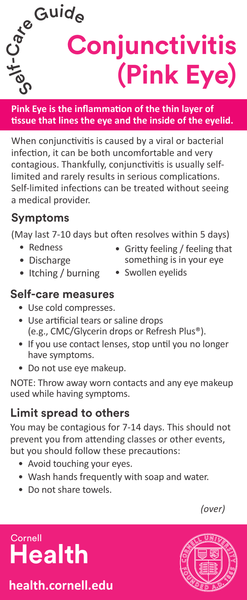**Pink Eye is the inflammation of the thin layer of tissue that lines the eye and the inside of the eyelid.**

 $\mathcal{S}$  **Conjunctivitis** 

 $A^e$ Guide

When conjunctivitis is caused by a viral or bacterial infection, it can be both uncomfortable and very contagious. Thankfully, conjunctivitis is usually selflimited and rarely results in serious complications. Self-limited infections can be treated without seeing a medical provider.

### **Symptoms**

**Medi** 

C -

(May last 7-10 days but often resolves within 5 days)

- Redness
- Discharge
- Gritty feeling / feeling that something is in your eye

**(Pink Eye)**

- Itching / burning
- Swollen eyelids

### **Self-care measures**

- Use cold compresses.
- Use artificial tears or saline drops (e.g., CMC/Glycerin drops or Refresh Plus®).
- If you use contact lenses, stop until you no longer have symptoms.
- Do not use eye makeup.

NOTE: Throw away worn contacts and any eye makeup used while having symptoms.

## **Limit spread to others**

You may be contagious for 7-14 days. This should not prevent you from attending classes or other events, but you should follow these precautions:

care setting, or

- Avoid touching your eyes.
- Wash hands frequently with soap and water.
- Do not share towels.

*(over)*

**Cornell Health**

# **health.cornell.edu**